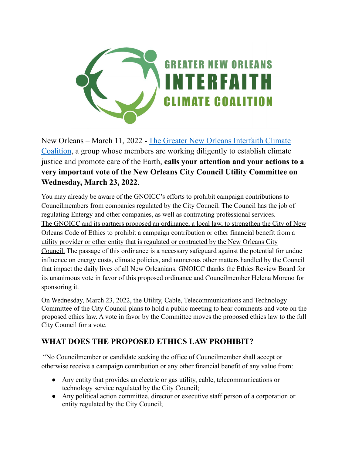

New Orleans – March 11, 2022 - The Greater New Orleans [Interfaith](https://gnoicc.org/) Climate [Coalition](https://gnoicc.org/), a group whose members are working diligently to establish climate justice and promote care of the Earth, **calls your attention and your actions to a very important vote of the New Orleans City Council Utility Committee on Wednesday, March 23, 2022**.

You may already be aware of the GNOICC's efforts to prohibit campaign contributions to Councilmembers from companies regulated by the City Council. The Council has the job of regulating Entergy and other companies, as well as contracting professional services. The GNOICC and its partners proposed an ordinance, a local law, to strengthen the City of New Orleans Code of Ethics to prohibit a campaign contribution or other financial benefit from a utility provider or other entity that is regulated or contracted by the New Orleans City Council. The passage of this ordinance is a necessary safeguard against the potential for undue influence on energy costs, climate policies, and numerous other matters handled by the Council that impact the daily lives of all New Orleanians. GNOICC thanks the Ethics Review Board for its unanimous vote in favor of this proposed ordinance and Councilmember Helena Moreno for sponsoring it.

On Wednesday, March 23, 2022, the Utility, Cable, Telecommunications and Technology Committee of the City Council plans to hold a public meeting to hear comments and vote on the proposed ethics law. A vote in favor by the Committee moves the proposed ethics law to the full City Council for a vote.

## **WHAT DOES THE PROPOSED ETHICS LAW PROHIBIT?**

"No Councilmember or candidate seeking the office of Councilmember shall accept or otherwise receive a campaign contribution or any other financial benefit of any value from:

- Any entity that provides an electric or gas utility, cable, telecommunications or technology service regulated by the City Council;
- Any political action committee, director or executive staff person of a corporation or entity regulated by the City Council;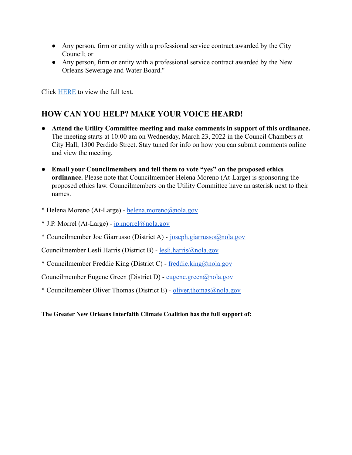- Any person, firm or entity with a professional service contract awarded by the City Council; or
- Any person, firm or entity with a professional service contract awarded by the New Orleans Sewerage and Water Board."

Click [HERE](https://cityofno.granicus.com/MetaViewer.php?view_id=&clip_id=4024&meta_id=572518) to view the full text.

## **HOW CAN YOU HELP? MAKE YOUR VOICE HEARD!**

- **Attend the Utility Committee meeting and make comments in support of this ordinance.** The meeting starts at 10:00 am on Wednesday, March 23, 2022 in the Council Chambers at City Hall, 1300 Perdido Street. Stay tuned for info on how you can submit comments online and view the meeting.
- **Email your Councilmembers and tell them to vote "yes" on the proposed ethics ordinance.** Please note that Councilmember Helena Moreno (At-Large) is sponsoring the proposed ethics law. Councilmembers on the Utility Committee have an asterisk next to their names.
- \* Helena Moreno (At-Large) [helena.moreno@nola.gov](mailto:helena.moreno@nola.gov)
- \* J.P. Morrel (At-Large) [jp.morrel@nola.gov](mailto:jp.morrel@nola.gov)
- \* Councilmember Joe Giarrusso (District A) [joseph.giarrusso@nola.gov](mailto:joseph.giarrusso@nola.gov)

Councilmember Lesli Harris (District B) - [lesli.harris@nola.gov](mailto:lesli.harris@nola.gov)

\* Councilmember Freddie King (District C) - [freddie.king@nola.gov](mailto:freddie.king@nola.gov)

Councilmember Eugene Green (District D) - [eugene.green@nola.gov](mailto:eugene.green@nola.gov)

\* Councilmember Oliver Thomas (District E) - [oliver.thomas@nola.gov](mailto:oliver.thomas@nola.gov)

**The Greater New Orleans Interfaith Climate Coalition has the full support of:**